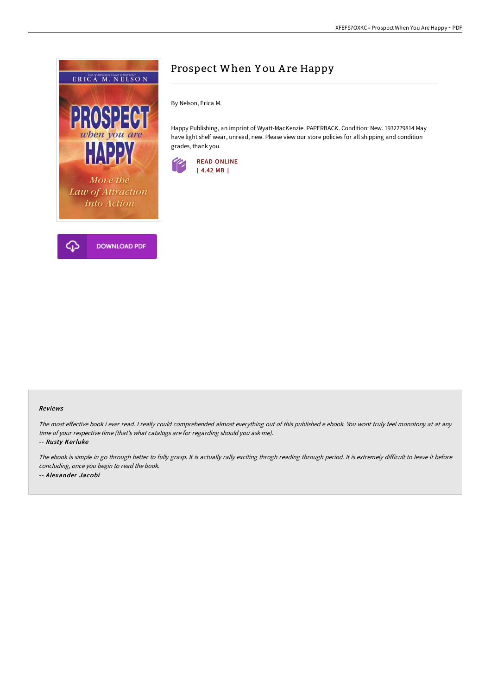

# Prospect When You Are Happy

By Nelson, Erica M.

Happy Publishing, an imprint of Wyatt-MacKenzie. PAPERBACK. Condition: New. 1932279814 May have light shelf wear, unread, new. Please view our store policies for all shipping and condition grades, thank you.



#### Reviews

The most effective book i ever read. I really could comprehended almost everything out of this published e ebook. You wont truly feel monotony at at any time of your respective time (that's what catalogs are for regarding should you ask me).

-- Rusty Kerluke

The ebook is simple in go through better to fully grasp. It is actually rally exciting throgh reading through period. It is extremely difficult to leave it before concluding, once you begin to read the book. -- Alexander Jacobi